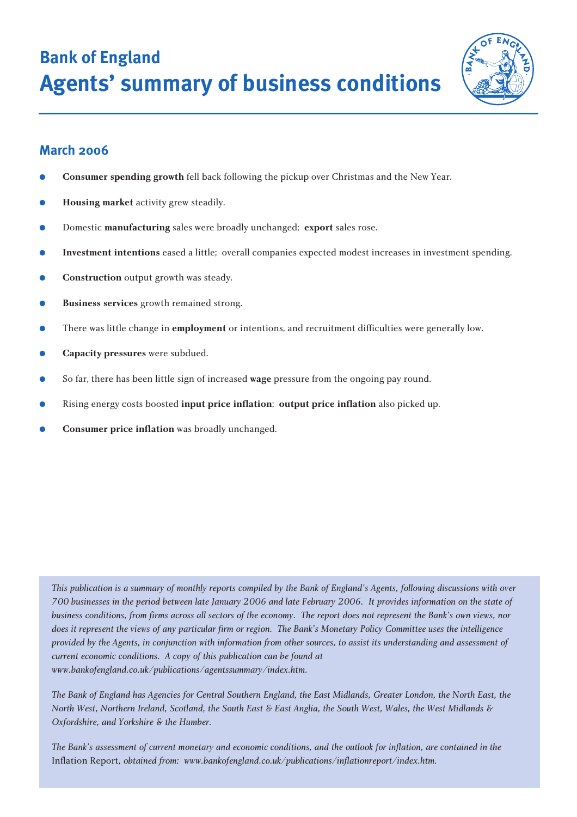**Bank of England Agents' summary of business conditions**



# **March 2006**

- **Consumer spending growth fell back following the pickup over Christmas and the New Year.**
- **Housing market** activity grew steadily.
- Domestic **manufacturing** sales were broadly unchanged; **export** sales rose.
- **Investment intentions** eased a little; overall companies expected modest increases in investment spending.
- **Construction** output growth was steady.
- **Business services** growth remained strong.
- There was little change in **employment** or intentions, and recruitment difficulties were generally low.
- **Capacity pressures** were subdued.
- So far, there has been little sign of increased **wage** pressure from the ongoing pay round.
- Rising energy costs boosted **input price inflation**; **output price inflation** also picked up.
- **Consumer price inflation** was broadly unchanged.

*This publication is a summary of monthly reports compiled by the Bank of England's Agents, following discussions with over 700 businesses in the period between late January 2006 and late February 2006. It provides information on the state of business conditions, from firms across all sectors of the economy. The report does not represent the Bank's own views, nor does it represent the views of any particular firm or region. The Bank's Monetary Policy Committee uses the intelligence provided by the Agents, in conjunction with information from other sources, to assist its understanding and assessment of current economic conditions. A copy of this publication can be found at www.bankofengland.co.uk/publications/agentssummary/index.htm.*

*The Bank of England has Agencies for Central Southern England, the East Midlands, Greater London, the North East, the North West, Northern Ireland, Scotland, the South East & East Anglia, the South West, Wales, the West Midlands & Oxfordshire, and Yorkshire & the Humber.*

*The Bank's assessment of current monetary and economic conditions, and the outlook for inflation, are contained in the* Inflation Report*, obtained from: www.bankofengland.co.uk/publications/inflationreport/index.htm.*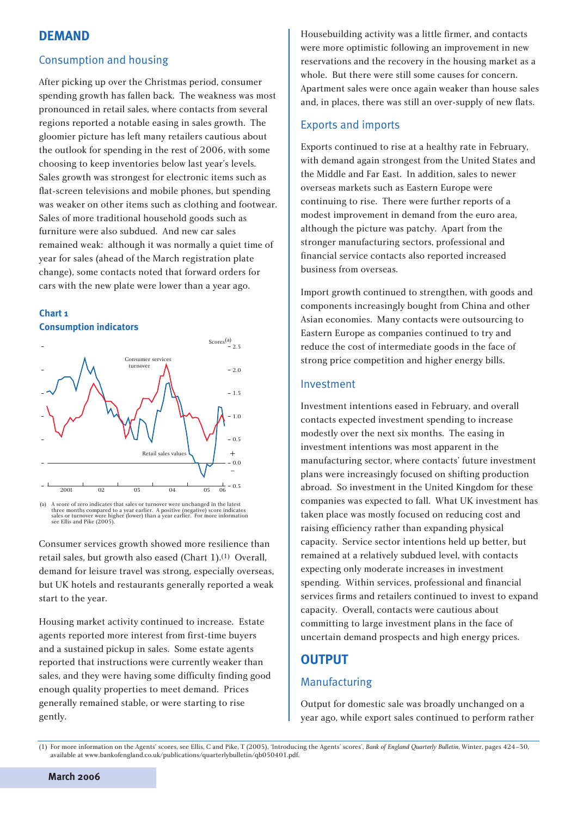# **DEMAND**

## Consumption and housing

After picking up over the Christmas period, consumer spending growth has fallen back. The weakness was most pronounced in retail sales, where contacts from several regions reported a notable easing in sales growth. The gloomier picture has left many retailers cautious about the outlook for spending in the rest of 2006, with some choosing to keep inventories below last year's levels. Sales growth was strongest for electronic items such as flat-screen televisions and mobile phones, but spending was weaker on other items such as clothing and footwear. Sales of more traditional household goods such as furniture were also subdued. And new car sales remained weak: although it was normally a quiet time of year for sales (ahead of the March registration plate change), some contacts noted that forward orders for cars with the new plate were lower than a year ago.





(a) A score of zero indicates that sales or turnover were unchanged in the latest three months compared to a year earlier. A positive (negative) score indicates sales or turnover were higher (lower) than a year earlier. For more information see Ellis and Pike (2005)

Consumer services growth showed more resilience than retail sales, but growth also eased (Chart 1).(1) Overall, demand for leisure travel was strong, especially overseas, but UK hotels and restaurants generally reported a weak start to the year.

Housing market activity continued to increase. Estate agents reported more interest from first-time buyers and a sustained pickup in sales. Some estate agents reported that instructions were currently weaker than sales, and they were having some difficulty finding good enough quality properties to meet demand. Prices generally remained stable, or were starting to rise gently.

Housebuilding activity was a little firmer, and contacts were more optimistic following an improvement in new reservations and the recovery in the housing market as a whole. But there were still some causes for concern. Apartment sales were once again weaker than house sales and, in places, there was still an over-supply of new flats.

## Exports and imports

Exports continued to rise at a healthy rate in February, with demand again strongest from the United States and the Middle and Far East. In addition, sales to newer overseas markets such as Eastern Europe were continuing to rise. There were further reports of a modest improvement in demand from the euro area, although the picture was patchy. Apart from the stronger manufacturing sectors, professional and financial service contacts also reported increased business from overseas.

Import growth continued to strengthen, with goods and components increasingly bought from China and other Asian economies. Many contacts were outsourcing to Eastern Europe as companies continued to try and reduce the cost of intermediate goods in the face of strong price competition and higher energy bills.

#### Investment

Investment intentions eased in February, and overall contacts expected investment spending to increase modestly over the next six months. The easing in investment intentions was most apparent in the manufacturing sector, where contacts' future investment plans were increasingly focused on shifting production abroad. So investment in the United Kingdom for these companies was expected to fall. What UK investment has taken place was mostly focused on reducing cost and raising efficiency rather than expanding physical capacity. Service sector intentions held up better, but remained at a relatively subdued level, with contacts expecting only moderate increases in investment spending. Within services, professional and financial services firms and retailers continued to invest to expand capacity. Overall, contacts were cautious about committing to large investment plans in the face of uncertain demand prospects and high energy prices.

# **OUTPUT**

## Manufacturing

Output for domestic sale was broadly unchanged on a year ago, while export sales continued to perform rather

<sup>(1)</sup> For more information on the Agents' scores, see Ellis, C and Pike, T (2005), 'Introducing the Agents' scores', *Bank of England Quarterly Bulletin*, Winter, pages 424–30, available at www.bankofengland.co.uk/publications/quarterlybulletin/qb050401.pdf.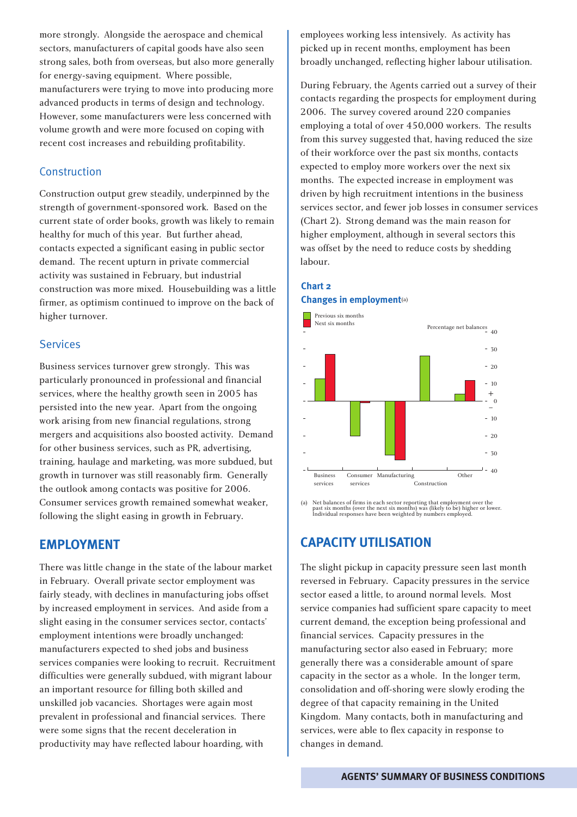more strongly. Alongside the aerospace and chemical sectors, manufacturers of capital goods have also seen strong sales, both from overseas, but also more generally for energy-saving equipment. Where possible, manufacturers were trying to move into producing more advanced products in terms of design and technology. However, some manufacturers were less concerned with volume growth and were more focused on coping with recent cost increases and rebuilding profitability.

## Construction

Construction output grew steadily, underpinned by the strength of government-sponsored work. Based on the current state of order books, growth was likely to remain healthy for much of this year. But further ahead, contacts expected a significant easing in public sector demand. The recent upturn in private commercial activity was sustained in February, but industrial construction was more mixed. Housebuilding was a little firmer, as optimism continued to improve on the back of higher turnover.

#### **Services**

Business services turnover grew strongly. This was particularly pronounced in professional and financial services, where the healthy growth seen in 2005 has persisted into the new year. Apart from the ongoing work arising from new financial regulations, strong mergers and acquisitions also boosted activity. Demand for other business services, such as PR, advertising, training, haulage and marketing, was more subdued, but growth in turnover was still reasonably firm. Generally the outlook among contacts was positive for 2006. Consumer services growth remained somewhat weaker, following the slight easing in growth in February.

#### **EMPLOYMENT**

There was little change in the state of the labour market in February. Overall private sector employment was fairly steady, with declines in manufacturing jobs offset by increased employment in services. And aside from a slight easing in the consumer services sector, contacts' employment intentions were broadly unchanged: manufacturers expected to shed jobs and business services companies were looking to recruit. Recruitment difficulties were generally subdued, with migrant labour an important resource for filling both skilled and unskilled job vacancies. Shortages were again most prevalent in professional and financial services. There were some signs that the recent deceleration in productivity may have reflected labour hoarding, with

employees working less intensively. As activity has picked up in recent months, employment has been broadly unchanged, reflecting higher labour utilisation.

During February, the Agents carried out a survey of their contacts regarding the prospects for employment during 2006. The survey covered around 220 companies employing a total of over 450,000 workers. The results from this survey suggested that, having reduced the size of their workforce over the past six months, contacts expected to employ more workers over the next six months. The expected increase in employment was driven by high recruitment intentions in the business services sector, and fewer job losses in consumer services (Chart 2). Strong demand was the main reason for higher employment, although in several sectors this was offset by the need to reduce costs by shedding labour.

## **Chart 2 Changes in employment**(a)



(a) Net balances of firms in each sector reporting that employment over the past six months (over the next six months) was (likely to be) higher or lower. Individual responses have been weighted by numbers employed.

## **CAPACITY UTILISATION**

The slight pickup in capacity pressure seen last month reversed in February. Capacity pressures in the service sector eased a little, to around normal levels. Most service companies had sufficient spare capacity to meet current demand, the exception being professional and financial services. Capacity pressures in the manufacturing sector also eased in February; more generally there was a considerable amount of spare capacity in the sector as a whole. In the longer term, consolidation and off-shoring were slowly eroding the degree of that capacity remaining in the United Kingdom. Many contacts, both in manufacturing and services, were able to flex capacity in response to changes in demand.